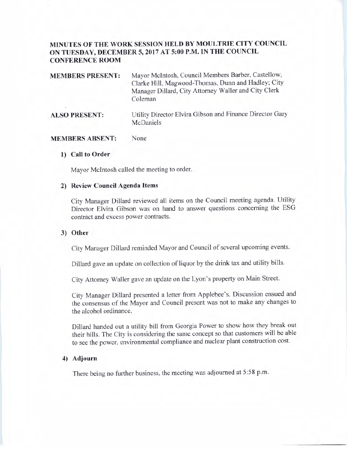# **MINUTES OF THE WORK SESSION HELD BY MOULTRIE CITY COUNCIL ON TUESDAY, DECEMBERS, 2017 AT 5:00 P.M. IN THE COUNCIL CONFERENCE ROOM**

| <b>MEMBERS PRESENT:</b> | Mayor McIntosh, Council Members Barber, Castellow,<br>Clarke Hill, Magwood-Thomas, Dunn and Hadley; City<br>Manager Dillard, City Attorney Waller and City Clerk<br>Coleman |
|-------------------------|-----------------------------------------------------------------------------------------------------------------------------------------------------------------------------|
| <b>ALSO PRESENT:</b>    | Utility Director Elvira Gibson and Finance Director Gary                                                                                                                    |

#### **MEMBERS ABSENT:**  None

#### **1) Call to Order**

Mayor McIntosh called the meeting to order.

**McDaniels** 

## **2) Review Council Agenda Items**

City Manager Dillard reviewed all items on the Council meeting agenda. Utility Director Elvira Gibson was on hand to answer questions concerning the ESG contract and excess power contracts.

## **3) Other**

City Manager Dillard reminded Mayor and Council of several upcoming events.

Dillard gave an update on collection of liquor by the drink tax and utility bills.

City Attorney Waller gave an update on the Lyon's property on Main Street.

City Manager Dillard presented a letter from Applebee's. Discussion ensued and the consensus of the Mayor and Council present was not to make any changes to the alcohol ordinance.

Dillard handed out a utility bill from Georgia Power to show how they break out their bills. The City is considering the same concept so that customers will be able to see the power, environmental compliance and nuclear plant construction cost.

## **4) Adjourn**

There being no further business, the meeting was adjourned at 5:58 p.m.